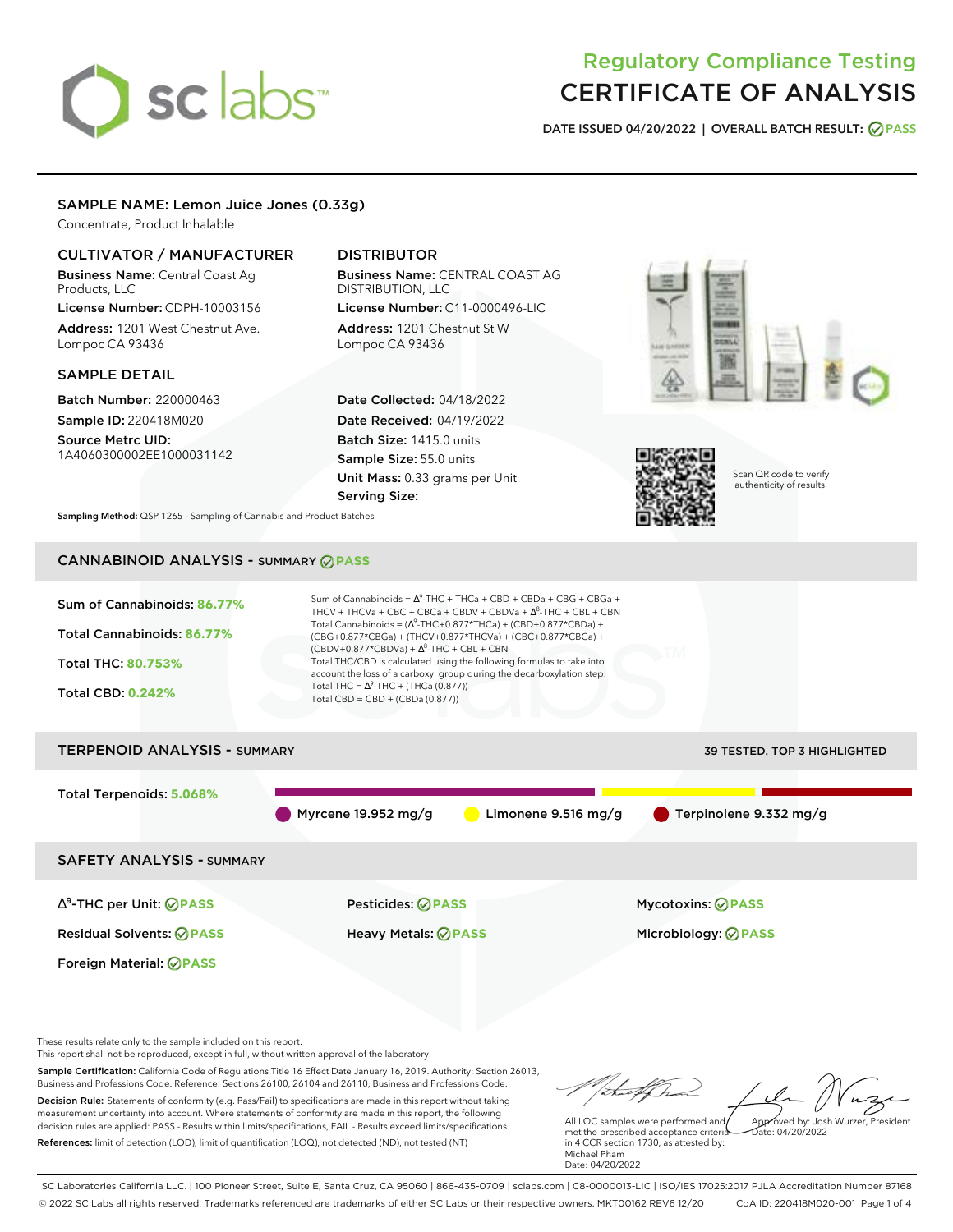# sclabs<sup>\*</sup>

## Regulatory Compliance Testing CERTIFICATE OF ANALYSIS

**DATE ISSUED 04/20/2022 | OVERALL BATCH RESULT: PASS**

#### SAMPLE NAME: Lemon Juice Jones (0.33g)

Concentrate, Product Inhalable

#### CULTIVATOR / MANUFACTURER

Business Name: Central Coast Ag Products, LLC

License Number: CDPH-10003156 Address: 1201 West Chestnut Ave. Lompoc CA 93436

#### SAMPLE DETAIL

Batch Number: 220000463 Sample ID: 220418M020 Source Metrc UID:

1A4060300002EE1000031142

#### DISTRIBUTOR

Business Name: CENTRAL COAST AG DISTRIBUTION, LLC License Number: C11-0000496-LIC

Address: 1201 Chestnut St W Lompoc CA 93436

Date Collected: 04/18/2022 Date Received: 04/19/2022 Batch Size: 1415.0 units Sample Size: 55.0 units Unit Mass: 0.33 grams per Unit Serving Size:





Scan QR code to verify authenticity of results.

**Sampling Method:** QSP 1265 - Sampling of Cannabis and Product Batches

### CANNABINOID ANALYSIS - SUMMARY **PASS**



These results relate only to the sample included on this report.

This report shall not be reproduced, except in full, without written approval of the laboratory.

Sample Certification: California Code of Regulations Title 16 Effect Date January 16, 2019. Authority: Section 26013, Business and Professions Code. Reference: Sections 26100, 26104 and 26110, Business and Professions Code. Decision Rule: Statements of conformity (e.g. Pass/Fail) to specifications are made in this report without taking measurement uncertainty into account. Where statements of conformity are made in this report, the following decision rules are applied: PASS - Results within limits/specifications, FAIL - Results exceed limits/specifications.

References: limit of detection (LOD), limit of quantification (LOQ), not detected (ND), not tested (NT)

Approved by: Josh Wurzer, President

 $ate: 04/20/2022$ 

All LQC samples were performed and met the prescribed acceptance criteria in 4 CCR section 1730, as attested by: Michael Pham Date: 04/20/2022

SC Laboratories California LLC. | 100 Pioneer Street, Suite E, Santa Cruz, CA 95060 | 866-435-0709 | sclabs.com | C8-0000013-LIC | ISO/IES 17025:2017 PJLA Accreditation Number 87168 © 2022 SC Labs all rights reserved. Trademarks referenced are trademarks of either SC Labs or their respective owners. MKT00162 REV6 12/20 CoA ID: 220418M020-001 Page 1 of 4